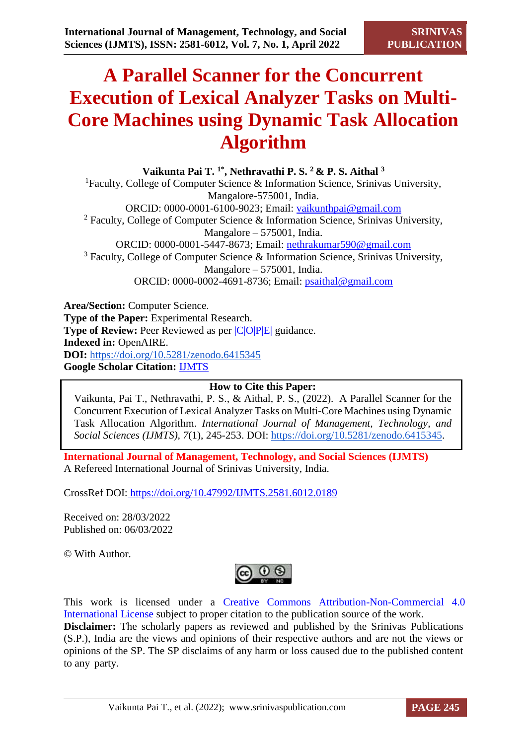# **A Parallel Scanner for the Concurrent Execution of Lexical Analyzer Tasks on Multi-Core Machines using Dynamic Task Allocation Algorithm**

**Vaikunta Pai T. 1\*, Nethravathi P. S. <sup>2</sup>& P. S. Aithal <sup>3</sup>** <sup>1</sup>Faculty, College of Computer Science  $\&$  Information Science, Srinivas University, Mangalore-575001, India. ORCID: 0000-0001-6100-9023; Email: [vaikunthpai@gmail.com](mailto:vaikunthpai@gmail.com)  $2$  Faculty, College of Computer Science & Information Science, Srinivas University, Mangalore – 575001, India. ORCID: 0000-0001-5447-8673; Email: [nethrakumar590@gmail.com](mailto:nethrakumar590@gmail.com) <sup>3</sup> Faculty, College of Computer Science & Information Science, Srinivas University, Mangalore – 575001, India. ORCID: 0000-0002-4691-8736; Email: [psaithal@gmail.com](mailto:psaithal@gmail.com)

**Area/Section:** Computer Science. **Type of the Paper:** Experimental Research. **Type of Review:** Peer Reviewed as per  $|C|O||P|E|$  guidance. **Indexed in:** OpenAIRE. **DOI:** <https://doi.org/10.5281/zenodo.6415345> **Google Scholar Citation:** [IJMTS](https://scholar.google.com/citations?user=bphF0BQAAAAJ)

# **How to Cite this Paper:**

Vaikunta, Pai T., Nethravathi, P. S., & Aithal, P. S., (2022). A Parallel Scanner for the Concurrent Execution of Lexical Analyzer Tasks on Multi-Core Machines using Dynamic Task Allocation Algorithm. *International Journal of Management, Technology, and Social Sciences (IJMTS), 7*(1), 245-253. DOI: [https://doi.org/10.5281/zenodo.6415345.](https://doi.org/10.5281/zenodo.6415345)

**International Journal of Management, Technology, and Social Sciences (IJMTS)** A Refereed International Journal of Srinivas University, India.

CrossRef DOI: [https://doi.org/10.47992/IJMTS.2581.6012.0189](https://search.crossref.org/?q=10.47992%2FIJMTS.2581.6012.0189&from_ui=yes)

Received on: 28/03/2022 Published on: 06/03/2022

© With Author.



This work is licensed under a Creative Commons Attribution-Non-Commercial 4.0 International License subject to proper citation to the publication source of the work. **Disclaimer:** The scholarly papers as reviewed and published by the Srinivas Publications (S.P.), India are the views and opinions of their respective authors and are not the views or opinions of the SP. The SP disclaims of any harm or loss caused due to the published content to any party.

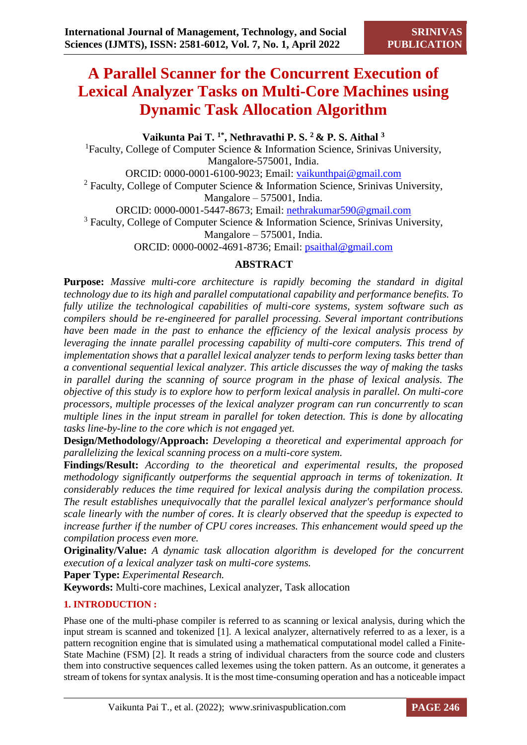# **A Parallel Scanner for the Concurrent Execution of Lexical Analyzer Tasks on Multi-Core Machines using Dynamic Task Allocation Algorithm**

**Vaikunta Pai T. 1\*, Nethravathi P. S. <sup>2</sup>& P. S. Aithal <sup>3</sup>** <sup>1</sup>Faculty, College of Computer Science  $\&$  Information Science, Srinivas University, Mangalore-575001, India. ORCID: 0000-0001-6100-9023; Email: [vaikunthpai@gmail.com](mailto:vaikunthpai@gmail.com) <sup>2</sup> Faculty, College of Computer Science & Information Science, Srinivas University, Mangalore – 575001, India. ORCID: 0000-0001-5447-8673; Email: [nethrakumar590@gmail.com](mailto:nethrakumar590@gmail.com) <sup>3</sup> Faculty, College of Computer Science & Information Science, Srinivas University, Mangalore – 575001, India. ORCID: 0000-0002-4691-8736; Email: [psaithal@gmail.com](mailto:psaithal@gmail.com)

# **ABSTRACT**

**Purpose:** *Massive multi-core architecture is rapidly becoming the standard in digital technology due to its high and parallel computational capability and performance benefits. To fully utilize the technological capabilities of multi-core systems, system software such as compilers should be re-engineered for parallel processing. Several important contributions have been made in the past to enhance the efficiency of the lexical analysis process by*  leveraging the innate parallel processing capability of multi-core computers. This trend of *implementation shows that a parallel lexical analyzer tends to perform lexing tasks better than a conventional sequential lexical analyzer. This article discusses the way of making the tasks in parallel during the scanning of source program in the phase of lexical analysis. The objective of this study is to explore how to perform lexical analysis in parallel. On multi-core processors, multiple processes of the lexical analyzer program can run concurrently to scan multiple lines in the input stream in parallel for token detection. This is done by allocating tasks line-by-line to the core which is not engaged yet.* 

**Design/Methodology/Approach:** *Developing a theoretical and experimental approach for parallelizing the lexical scanning process on a multi-core system.*

**Findings/Result:** *According to the theoretical and experimental results, the proposed methodology significantly outperforms the sequential approach in terms of tokenization. It considerably reduces the time required for lexical analysis during the compilation process. The result establishes unequivocally that the parallel lexical analyzer's performance should scale linearly with the number of cores. It is clearly observed that the speedup is expected to increase further if the number of CPU cores increases. This enhancement would speed up the compilation process even more.*

**Originality/Value:** *A dynamic task allocation algorithm is developed for the concurrent execution of a lexical analyzer task on multi-core systems.*

**Paper Type:** *Experimental Research.*

**Keywords:** Multi-core machines, Lexical analyzer, Task allocation

# **1. INTRODUCTION :**

Phase one of the multi-phase compiler is referred to as scanning or lexical analysis, during which the input stream is scanned and tokenized [1]. A lexical analyzer, alternatively referred to as a lexer, is a pattern recognition engine that is simulated using a mathematical computational model called a Finite-State Machine (FSM) [2]. It reads a string of individual characters from the source code and clusters them into constructive sequences called lexemes using the token pattern. As an outcome, it generates a stream of tokens for syntax analysis. It is the most time-consuming operation and has a noticeable impact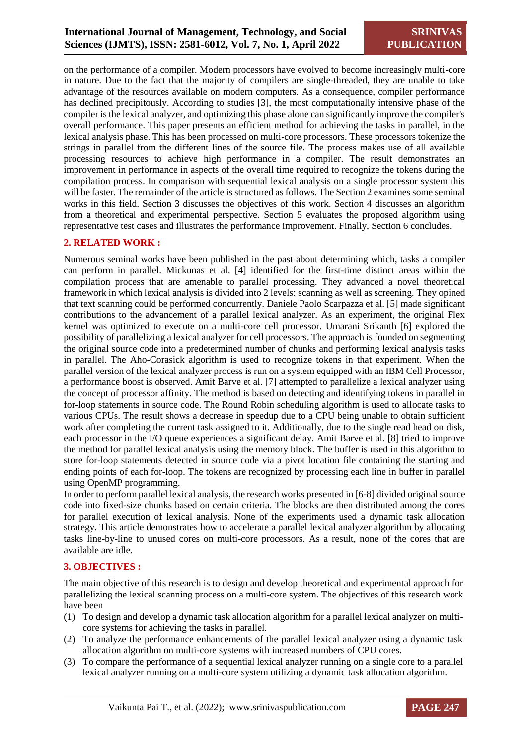on the performance of a compiler. Modern processors have evolved to become increasingly multi-core in nature. Due to the fact that the majority of compilers are single-threaded, they are unable to take advantage of the resources available on modern computers. As a consequence, compiler performance has declined precipitously. According to studies [3], the most computationally intensive phase of the compiler is the lexical analyzer, and optimizing this phase alone can significantly improve the compiler's overall performance. This paper presents an efficient method for achieving the tasks in parallel, in the lexical analysis phase. This has been processed on multi-core processors. These processors tokenize the strings in parallel from the different lines of the source file. The process makes use of all available processing resources to achieve high performance in a compiler. The result demonstrates an improvement in performance in aspects of the overall time required to recognize the tokens during the compilation process. In comparison with sequential lexical analysis on a single processor system this will be faster. The remainder of the article is structured as follows. The Section 2 examines some seminal works in this field. Section 3 discusses the objectives of this work. Section 4 discusses an algorithm from a theoretical and experimental perspective. Section 5 evaluates the proposed algorithm using representative test cases and illustrates the performance improvement. Finally, Section 6 concludes.

# **2. RELATED WORK :**

Numerous seminal works have been published in the past about determining which, tasks a compiler can perform in parallel. Mickunas et al. [4] identified for the first-time distinct areas within the compilation process that are amenable to parallel processing. They advanced a novel theoretical framework in which lexical analysis is divided into 2 levels: scanning as well as screening. They opined that text scanning could be performed concurrently. Daniele Paolo Scarpazza et al. [5] made significant contributions to the advancement of a parallel lexical analyzer. As an experiment, the original Flex kernel was optimized to execute on a multi-core cell processor. Umarani Srikanth [6] explored the possibility of parallelizing a lexical analyzer for cell processors. The approach is founded on segmenting the original source code into a predetermined number of chunks and performing lexical analysis tasks in parallel. The Aho-Corasick algorithm is used to recognize tokens in that experiment. When the parallel version of the lexical analyzer process is run on a system equipped with an IBM Cell Processor, a performance boost is observed. Amit Barve et al. [7] attempted to parallelize a lexical analyzer using the concept of processor affinity. The method is based on detecting and identifying tokens in parallel in for-loop statements in source code. The Round Robin scheduling algorithm is used to allocate tasks to various CPUs. The result shows a decrease in speedup due to a CPU being unable to obtain sufficient work after completing the current task assigned to it. Additionally, due to the single read head on disk, each processor in the I/O queue experiences a significant delay. Amit Barve et al. [8] tried to improve the method for parallel lexical analysis using the memory block. The buffer is used in this algorithm to store for-loop statements detected in source code via a pivot location file containing the starting and ending points of each for-loop. The tokens are recognized by processing each line in buffer in parallel using OpenMP programming.

In order to perform parallel lexical analysis, the research works presented in [6-8] divided original source code into fixed-size chunks based on certain criteria. The blocks are then distributed among the cores for parallel execution of lexical analysis. None of the experiments used a dynamic task allocation strategy. This article demonstrates how to accelerate a parallel lexical analyzer algorithm by allocating tasks line-by-line to unused cores on multi-core processors. As a result, none of the cores that are available are idle.

# **3. OBJECTIVES :**

The main objective of this research is to design and develop theoretical and experimental approach for parallelizing the lexical scanning process on a multi-core system. The objectives of this research work have been

- (1) To design and develop a dynamic task allocation algorithm for a parallel lexical analyzer on multicore systems for achieving the tasks in parallel.
- (2) To analyze the performance enhancements of the parallel lexical analyzer using a dynamic task allocation algorithm on multi-core systems with increased numbers of CPU cores.
- (3) To compare the performance of a sequential lexical analyzer running on a single core to a parallel lexical analyzer running on a multi-core system utilizing a dynamic task allocation algorithm.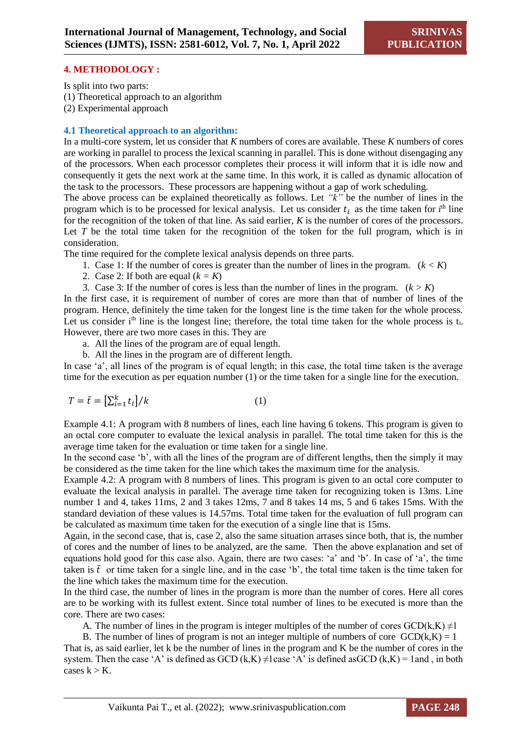#### **4. METHODOLOGY :**

Is split into two parts:

(1) Theoretical approach to an algorithm

(2) Experimental approach

#### **4.1 Theoretical approach to an algorithm:**

In a multi-core system, let us consider that *K* numbers of cores are available. These *K* numbers of cores are working in parallel to process the lexical scanning in parallel. This is done without disengaging any of the processors. When each processor completes their process it will inform that it is idle now and consequently it gets the next work at the same time. In this work, it is called as dynamic allocation of the task to the processors. These processors are happening without a gap of work scheduling.

The above process can be explained theoretically as follows. Let *"k"* be the number of lines in the program which is to be processed for lexical analysis. Let us consider  $t_i$  as the time taken for  $i<sup>th</sup>$  line for the recognition of the token of that line. As said earlier, *K* is the number of cores of the processors. Let *T* be the total time taken for the recognition of the token for the full program, which is in consideration.

The time required for the complete lexical analysis depends on three parts.

- 1. Case 1: If the number of cores is greater than the number of lines in the program.  $(k < K)$
- 2. Case 2: If both are equal  $(k = K)$
- 3. Case 3: If the number of cores is less than the number of lines in the program.  $(k > K)$

In the first case, it is requirement of number of cores are more than that of number of lines of the program. Hence, definitely the time taken for the longest line is the time taken for the whole process. Let us consider  $i<sup>th</sup>$  line is the longest line; therefore, the total time taken for the whole process is  $t<sub>i</sub>$ . However, there are two more cases in this. They are

- a. All the lines of the program are of equal length.
- b. All the lines in the program are of different length.

In case 'a', all lines of the program is of equal length; in this case, the total time taken is the average time for the execution as per equation number (1) or the time taken for a single line for the execution.

$$
T = \bar{t} = \left[\sum_{i=1}^{k} t_i\right] / k \tag{1}
$$

Example 4.1: A program with 8 numbers of lines, each line having 6 tokens. This program is given to an octal core computer to evaluate the lexical analysis in parallel. The total time taken for this is the average time taken for the evaluation or time taken for a single line.

In the second case 'b', with all the lines of the program are of different lengths, then the simply it may be considered as the time taken for the line which takes the maximum time for the analysis.

Example 4.2: A program with 8 numbers of lines. This program is given to an octal core computer to evaluate the lexical analysis in parallel. The average time taken for recognizing token is 13ms. Line number 1 and 4, takes 11ms, 2 and 3 takes 12ms, 7 and 8 takes 14 ms, 5 and 6 takes 15ms. With the standard deviation of these values is 14.57ms. Total time taken for the evaluation of full program can be calculated as maximum time taken for the execution of a single line that is 15ms.

Again, in the second case, that is, case 2, also the same situation arrases since both, that is, the number of cores and the number of lines to be analyzed, are the same. Then the above explanation and set of equations hold good for this case also. Again, there are two cases: 'a' and 'b'. In case of 'a', the time taken is  $\bar{t}$  or time taken for a single line, and in the case 'b', the total time taken is the time taken for the line which takes the maximum time for the execution.

In the third case, the number of lines in the program is more than the number of cores. Here all cores are to be working with its fullest extent. Since total number of lines to be executed is more than the core. There are two cases:

A. The number of lines in the program is integer multiples of the number of cores GCD(k,K)  $\neq$ 1

B. The number of lines of program is not an integer multiple of numbers of core  $GCD(k,K) = 1$ That is, as said earlier, let k be the number of lines in the program and K be the number of cores in the system. Then the case 'A' is defined as GCD (k,K)  $\neq$ 1case 'A' is defined asGCD (k,K) = 1and, in both cases  $k > K$ .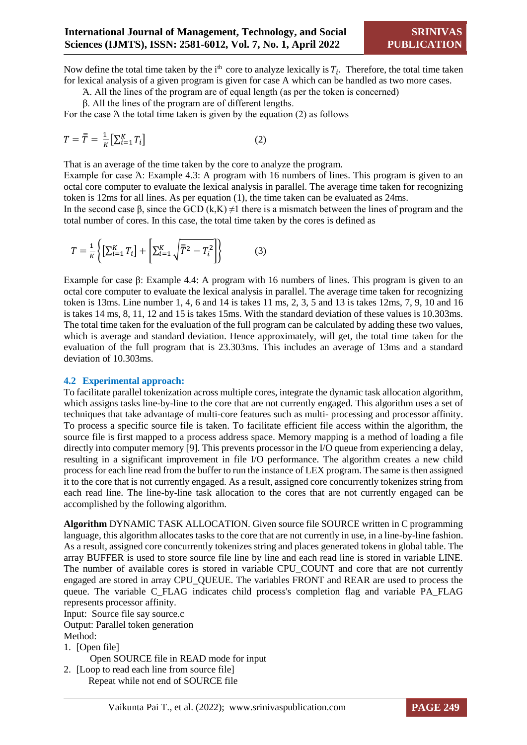Now define the total time taken by the  $i<sup>th</sup>$  core to analyze lexically is  $T_i$ . Therefore, the total time taken for lexical analysis of a given program is given for case A which can be handled as two more cases.

Ά. All the lines of the program are of equal length (as per the token is concerned)

β. All the lines of the program are of different lengths.

For the case Ά the total time taken is given by the equation (2) as follows

$$
T = \overline{\overline{T}} = \frac{1}{K} \left[ \sum_{i=1}^{K} T_i \right] \tag{2}
$$

That is an average of the time taken by the core to analyze the program.

Example for case Ά: Example 4.3: A program with 16 numbers of lines. This program is given to an octal core computer to evaluate the lexical analysis in parallel. The average time taken for recognizing token is 12ms for all lines. As per equation (1), the time taken can be evaluated as 24ms.

In the second case β, since the GCD  $(k,K) \neq 1$  there is a mismatch between the lines of program and the total number of cores. In this case, the total time taken by the cores is defined as

$$
T = \frac{1}{K} \left\{ \left[ \sum_{i=1}^{K} T_i \right] + \left[ \sum_{i=1}^{K} \sqrt{\bar{T}^2 - T_i^2} \right] \right\}
$$
(3)

Example for case β: Example 4.4: A program with 16 numbers of lines. This program is given to an octal core computer to evaluate the lexical analysis in parallel. The average time taken for recognizing token is 13ms. Line number 1, 4, 6 and 14 is takes 11 ms, 2, 3, 5 and 13 is takes 12ms, 7, 9, 10 and 16 is takes 14 ms, 8, 11, 12 and 15 is takes 15ms. With the standard deviation of these values is 10.303ms. The total time taken for the evaluation of the full program can be calculated by adding these two values, which is average and standard deviation. Hence approximately, will get, the total time taken for the evaluation of the full program that is 23.303ms. This includes an average of 13ms and a standard deviation of 10.303ms.

#### **4.2 Experimental approach:**

To facilitate parallel tokenization across multiple cores, integrate the dynamic task allocation algorithm, which assigns tasks line-by-line to the core that are not currently engaged. This algorithm uses a set of techniques that take advantage of multi-core features such as multi- processing and processor affinity. To process a specific source file is taken. To facilitate efficient file access within the algorithm, the source file is first mapped to a process address space. Memory mapping is a method of loading a file directly into computer memory [9]. This prevents processor in the I/O queue from experiencing a delay, resulting in a significant improvement in file I/O performance. The algorithm creates a new child process for each line read from the buffer to run the instance of LEX program. The same is then assigned it to the core that is not currently engaged. As a result, assigned core concurrently tokenizes string from each read line. The line-by-line task allocation to the cores that are not currently engaged can be accomplished by the following algorithm.

**Algorithm** DYNAMIC TASK ALLOCATION. Given source file SOURCE written in C programming language, this algorithm allocates tasks to the core that are not currently in use, in a line-by-line fashion. As a result, assigned core concurrently tokenizes string and places generated tokens in global table. The array BUFFER is used to store source file line by line and each read line is stored in variable LINE. The number of available cores is stored in variable CPU\_COUNT and core that are not currently engaged are stored in array CPU\_QUEUE. The variables FRONT and REAR are used to process the queue. The variable C\_FLAG indicates child process's completion flag and variable PA\_FLAG represents processor affinity.

Input: Source file say source.c

Output: Parallel token generation

Method:

1. [Open file]

Open SOURCE file in READ mode for input

2. [Loop to read each line from source file] Repeat while not end of SOURCE file

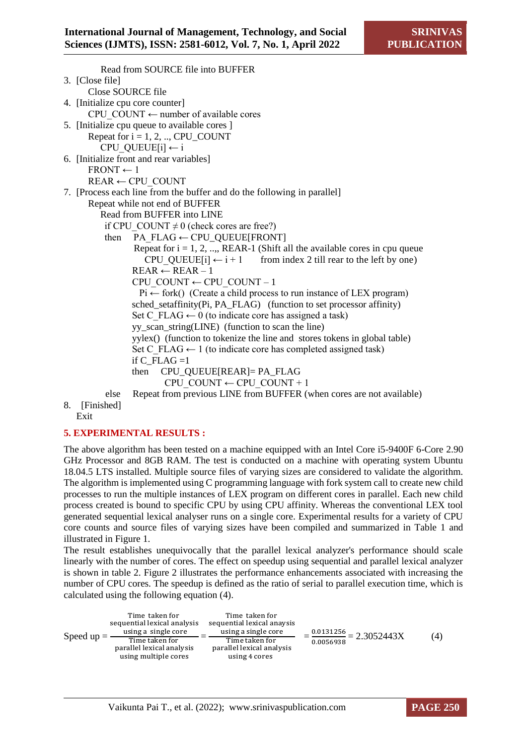Read from SOURCE file into BUFFER 3. [Close file] Close SOURCE file 4. [Initialize cpu core counter] CPU\_COUNT  $\leftarrow$  number of available cores 5. [Initialize cpu queue to available cores ] Repeat for  $i = 1, 2, \dots$ , CPU\_COUNT CPU\_QUEUE[i]  $\leftarrow$  i 6. [Initialize front and rear variables]  $FRONT \leftarrow 1$  $REAR \leftarrow CPU$  COUNT 7. [Process each line from the buffer and do the following in parallel] Repeat while not end of BUFFER Read from BUFFER into LINE if CPU\_COUNT  $\neq$  0 (check cores are free?) then PA\_FLAG  $\leftarrow$  CPU\_QUEUE[FRONT] Repeat for  $i = 1, 2, \dots$ , REAR-1 (Shift all the available cores in cpu queue) CPU QUEUE[i]  $\leftarrow$  i + 1 from index 2 till rear to the left by one)  $REAR \leftarrow REAR - 1$ CPU\_COUNT ← CPU\_COUNT – 1  $Pi \leftarrow$  fork() (Create a child process to run instance of LEX program) sched\_setaffinity(Pi, PA\_FLAG) (function to set processor affinity) Set C\_FLAG  $\leftarrow$  0 (to indicate core has assigned a task)  $\overline{y}$  vy scan string(LINE) (function to scan the line) yylex() (function to tokenize the line and stores tokens in global table) Set C\_FLAG  $\leftarrow$  1 (to indicate core has completed assigned task) if C\_FLAG = $1$  then CPU\_QUEUE[REAR]= PA\_FLAG CPU\_COUNT  $\leftarrow$  CPU\_COUNT + 1 else Repeat from previous LINE from BUFFER (when cores are not available)

8. [Finished] Exit

# **5. EXPERIMENTAL RESULTS :**

The above algorithm has been tested on a machine equipped with an Intel Core i5-9400F 6-Core 2.90 GHz Processor and 8GB RAM. The test is conducted on a machine with operating system Ubuntu 18.04.5 LTS installed. Multiple source files of varying sizes are considered to validate the algorithm. The algorithm is implemented using C programming language with fork system call to create new child processes to run the multiple instances of LEX program on different cores in parallel. Each new child process created is bound to specific CPU by using CPU affinity. Whereas the conventional LEX tool generated sequential lexical analyser runs on a single core. Experimental results for a variety of CPU core counts and source files of varying sizes have been compiled and summarized in Table 1 and illustrated in Figure 1.

The result establishes unequivocally that the parallel lexical analyzer's performance should scale linearly with the number of cores. The effect on speedup using sequential and parallel lexical analyzer is shown in table 2. Figure 2 illustrates the performance enhancements associated with increasing the number of CPU cores. The speedup is defined as the ratio of serial to parallel execution time, which is calculated using the following equation (4).

| Speed $up = -$ | Time taken for<br>sequential lexical analysis<br>using a single core | Time taken for<br>sequential lexical anaysis<br>using a single core |                                                         |     |
|----------------|----------------------------------------------------------------------|---------------------------------------------------------------------|---------------------------------------------------------|-----|
|                | Time taken for<br>parallel lexical analysis                          | Time taken for<br>parallel lexical analysis                         | $\frac{0.0131256}{0.0131256} = 2.3052443X$<br>0.0056938 | (4) |
|                | using multiple cores                                                 | using 4 cores                                                       |                                                         |     |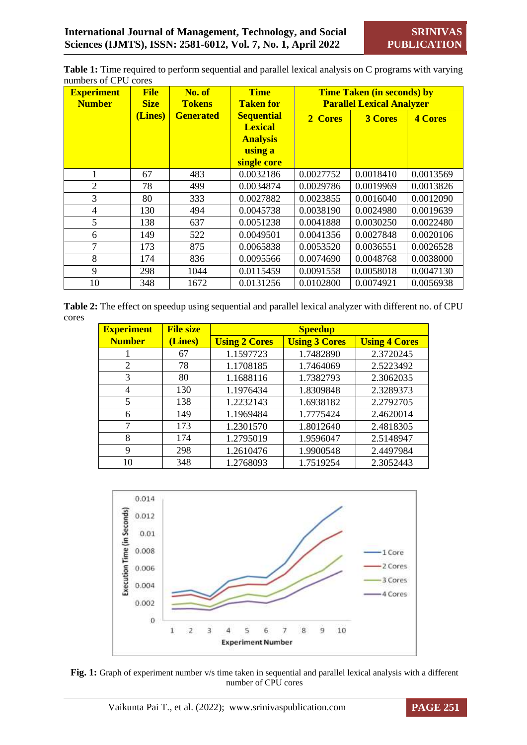**Table 1:** Time required to perform sequential and parallel lexical analysis on C programs with varying numbers of CPU cores

| <b>Experiment</b><br><b>Number</b> | <b>File</b><br><b>Size</b> | No. of<br><b>Tokens</b> | <b>Time</b><br><b>Taken for</b>                                                  | <b>Time Taken (in seconds) by</b><br><b>Parallel Lexical Analyzer</b> |                |                |
|------------------------------------|----------------------------|-------------------------|----------------------------------------------------------------------------------|-----------------------------------------------------------------------|----------------|----------------|
|                                    | (Lines)                    | <b>Generated</b>        | <b>Sequential</b><br><b>Lexical</b><br><b>Analysis</b><br>using a<br>single core | 2 Cores                                                               | <b>3 Cores</b> | <b>4 Cores</b> |
| 1                                  | 67                         | 483                     | 0.0032186                                                                        | 0.0027752                                                             | 0.0018410      | 0.0013569      |
| $\overline{2}$                     | 78                         | 499                     | 0.0034874                                                                        | 0.0029786                                                             | 0.0019969      | 0.0013826      |
| 3                                  | 80                         | 333                     | 0.0027882                                                                        | 0.0023855                                                             | 0.0016040      | 0.0012090      |
| $\overline{4}$                     | 130                        | 494                     | 0.0045738                                                                        | 0.0038190                                                             | 0.0024980      | 0.0019639      |
| 5                                  | 138                        | 637                     | 0.0051238                                                                        | 0.0041888                                                             | 0.0030250      | 0.0022480      |
| 6                                  | 149                        | 522                     | 0.0049501                                                                        | 0.0041356                                                             | 0.0027848      | 0.0020106      |
| $\tau$                             | 173                        | 875                     | 0.0065838                                                                        | 0.0053520                                                             | 0.0036551      | 0.0026528      |
| 8                                  | 174                        | 836                     | 0.0095566                                                                        | 0.0074690                                                             | 0.0048768      | 0.0038000      |
| 9                                  | 298                        | 1044                    | 0.0115459                                                                        | 0.0091558                                                             | 0.0058018      | 0.0047130      |
| 10                                 | 348                        | 1672                    | 0.0131256                                                                        | 0.0102800                                                             | 0.0074921      | 0.0056938      |

**Table 2:** The effect on speedup using sequential and parallel lexical analyzer with different no. of CPU cores

| <b>Experiment</b> | <b>File size</b> | <b>Speedup</b>       |                      |                      |  |
|-------------------|------------------|----------------------|----------------------|----------------------|--|
| <b>Number</b>     | (Lines)          | <b>Using 2 Cores</b> | <b>Using 3 Cores</b> | <b>Using 4 Cores</b> |  |
|                   | 67               | 1.1597723            | 1.7482890            | 2.3720245            |  |
| $\overline{2}$    | 78               | 1.1708185            | 1.7464069            | 2.5223492            |  |
| 3                 | 80               | 1.1688116            | 1.7382793            | 2.3062035            |  |
| 4                 | 130              | 1.1976434            | 1.8309848            | 2.3289373            |  |
| 5                 | 138              | 1.2232143            | 1.6938182            | 2.2792705            |  |
| 6                 | 149              | 1.1969484            | 1.7775424            | 2.4620014            |  |
| 7                 | 173              | 1.2301570            | 1.8012640            | 2.4818305            |  |
| 8                 | 174              | 1.2795019            | 1.9596047            | 2.5148947            |  |
| 9                 | 298              | 1.2610476            | 1.9900548            | 2.4497984            |  |
| 10                | 348              | 1.2768093            | 1.7519254            | 2.3052443            |  |



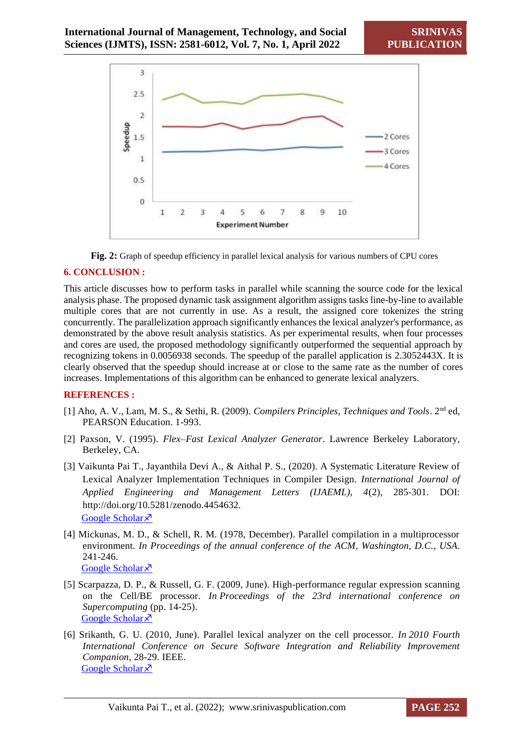



# **6. CONCLUSION :**

This article discusses how to perform tasks in parallel while scanning the source code for the lexical analysis phase. The proposed dynamic task assignment algorithm assigns tasks line-by-line to available multiple cores that are not currently in use. As a result, the assigned core tokenizes the string concurrently. The parallelization approach significantly enhances the lexical analyzer's performance, as demonstrated by the above result analysis statistics. As per experimental results, when four processes and cores are used, the proposed methodology significantly outperformed the sequential approach by recognizing tokens in 0.0056938 seconds. The speedup of the parallel application is 2.3052443X. It is clearly observed that the speedup should increase at or close to the same rate as the number of cores increases. Implementations of this algorithm can be enhanced to generate lexical analyzers.

# **REFERENCES :**

- [1] Aho, A. V., Lam, M. S., & Sethi, R. (2009). *Compilers Principles, Techniques and Tools*. 2nd ed, PEARSON Education. 1-993.
- [2] Paxson, V. (1995). *Flex–Fast Lexical Analyzer Generator*. Lawrence Berkeley Laboratory, Berkeley, CA.
- [3] Vaikunta Pai T., Jayanthila Devi A., & Aithal P. S., (2020). A Systematic Literature Review of Lexical Analyzer Implementation Techniques in Compiler Design. *International Journal of Applied Engineering and Management Letters (IJAEML), 4*(2), 285-301. DOI: http://doi.org/10.5281/zenodo.4454632. [Google Scholar](https://papers.ssrn.com/sol3/papers.cfm?abstract_id=3770588) ×
- [4] Mickunas, M. D., & Schell, R. M. (1978, December). Parallel compilation in a multiprocessor environment. *In Proceedings of the annual conference of the ACM, Washington, D.C., USA*. 241-246. [Google Scholar](https://dl.acm.org/doi/abs/10.1145/800127.804105?casa_token=scWEW4_3XiwAAAAA:TNCYhy9WWfKHi-_83RmkBZYqegJsZgg5PNHWVqQqH7kiOgtj_yWckaQ47ZuQ7GSJ1fgTcfTRnzcYeek) ×
- [5] Scarpazza, D. P., & Russell, G. F. (2009, June). High-performance regular expression scanning on the Cell/BE processor. *In Proceedings of the 23rd international conference on Supercomputing* (pp. 14-25). [Google Scholar](https://dl.acm.org/doi/abs/10.1145/1542275.1542284?casa_token=R6Iuw1MjupgAAAAA:Q1jeEMRas6fv1Sg6RRAnmZQDslLUSbGGAQ_3YDIXmIxnm2gat3Tz8VCc0vxzucY5kexdj7tJyzXsa8c) ×
- [6] Srikanth, G. U. (2010, June). Parallel lexical analyzer on the cell processor. *In 2010 Fourth International Conference on Secure Software Integration and Reliability Improvement Companion*, 28-29. IEEE. [Google Scholar](https://ieeexplore.ieee.org/abstract/document/5521554/) ×